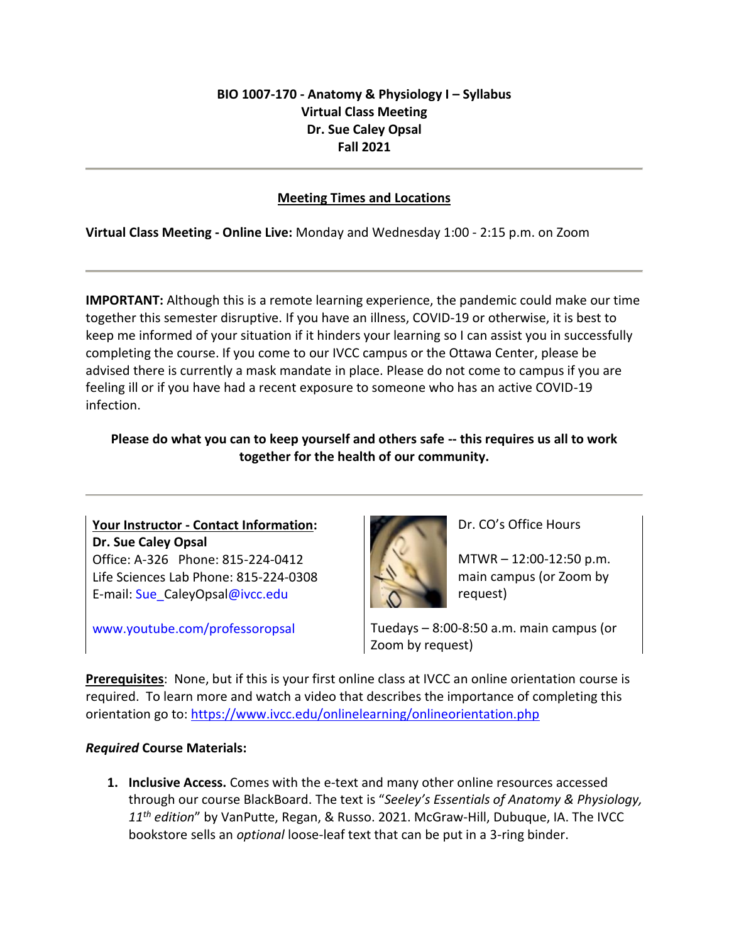# **BIO 1007-170 - Anatomy & Physiology I – Syllabus Virtual Class Meeting Dr. Sue Caley Opsal Fall 2021**

#### **Meeting Times and Locations**

**Virtual Class Meeting - Online Live:** Monday and Wednesday 1:00 - 2:15 p.m. on Zoom

**IMPORTANT:** Although this is a remote learning experience, the pandemic could make our time together this semester disruptive. If you have an illness, COVID-19 or otherwise, it is best to keep me informed of your situation if it hinders your learning so I can assist you in successfully completing the course. If you come to our IVCC campus or the Ottawa Center, please be advised there is currently a mask mandate in place. Please do not come to campus if you are feeling ill or if you have had a recent exposure to someone who has an active COVID-19 infection.

## **Please do what you can to keep yourself and others safe -- this requires us all to work together for the health of our community.**

**Your Instructor - Contact Information: Dr. Sue Caley Opsal** Office: A-326 Phone: 815-224-0412 Life Sciences Lab Phone: 815-224-0308 E-mail: [Sue\\_C](mailto:Sue_++++++++++@ivcc.edu)aleyOpsa[l@ivcc.edu](mailto:Sue_++++++++++@ivcc.edu)

www.youtube.com/professoropsal



Dr. CO's Office Hours

MTWR – 12:00-12:50 p.m. main campus (or Zoom by request)

Tuedays – 8:00-8:50 a.m. main campus (or Zoom by request)

**Prerequisites**: None, but if this is your first online class at IVCC an online orientation course is required. To learn more and watch a video that describes the importance of completing this orientation go to: <https://www.ivcc.edu/onlinelearning/onlineorientation.php>

## *Required* **Course Materials:**

**1. Inclusive Access.** Comes with the e-text and many other online resources accessed through our course BlackBoard. The text is "*Seeley's Essentials of Anatomy & Physiology, 11 th edition*" by VanPutte, Regan, & Russo. 2021. McGraw-Hill, Dubuque, IA. The IVCC bookstore sells an *optional* loose-leaf text that can be put in a 3-ring binder.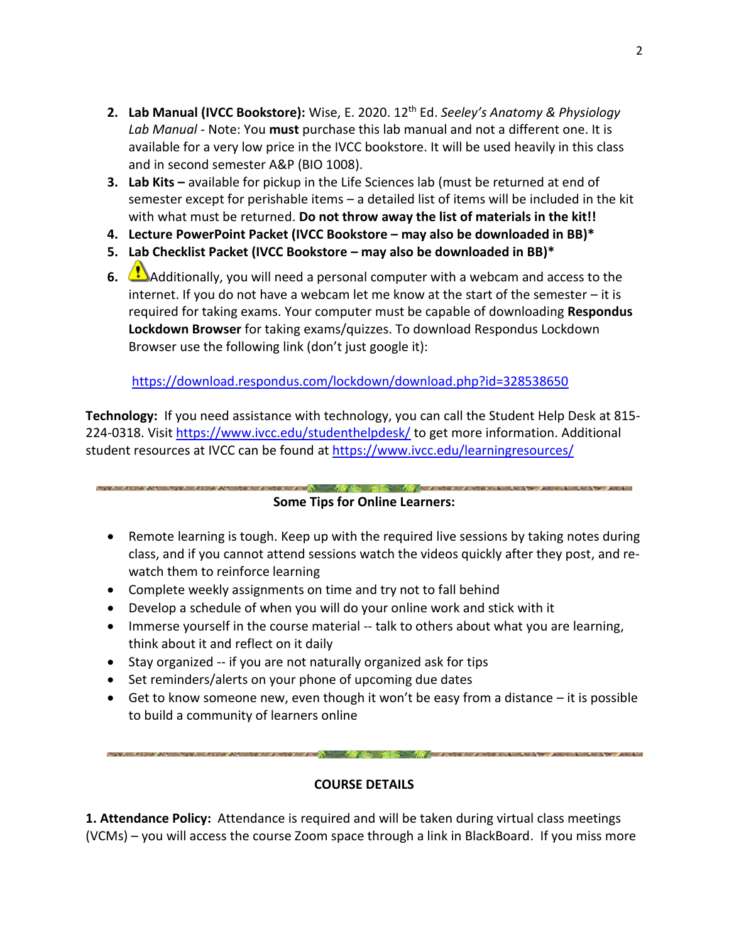- **2. Lab Manual (IVCC Bookstore):** Wise, E. 2020. 12th Ed. *Seeley's Anatomy & Physiology Lab Manual -* Note: You **must** purchase this lab manual and not a different one. It is available for a very low price in the IVCC bookstore. It will be used heavily in this class and in second semester A&P (BIO 1008).
- **3. Lab Kits –** available for pickup in the Life Sciences lab (must be returned at end of semester except for perishable items – a detailed list of items will be included in the kit with what must be returned. **Do not throw away the list of materials in the kit!!**
- **4. Lecture PowerPoint Packet (IVCC Bookstore – may also be downloaded in BB)\***
- **5. Lab Checklist Packet (IVCC Bookstore – may also be downloaded in BB)\***
- **6.** Additionally, you will need a personal computer with a webcam and access to the internet. If you do not have a webcam let me know at the start of the semester – it is required for taking exams. Your computer must be capable of downloading **Respondus Lockdown Browser** for taking exams/quizzes. To download Respondus Lockdown Browser use the following link (don't just google it):

<https://download.respondus.com/lockdown/download.php?id=328538650>

**Technology:** If you need assistance with technology, you can call the Student Help Desk at 815- 224-0318. Visi[t https://www.ivcc.edu/studenthelpdesk/](https://www.ivcc.edu/studenthelpdesk/) to get more information. Additional student resources at IVCC can be found at<https://www.ivcc.edu/learningresources/>

**REPORT OF A STATE OF A STATE OF A STATE OF A STATE OF A STATE OF A STATE OF A STATE OF A STATE OF A STATE OF A STATE OF A STATE OF A STATE OF A STATE OF A STATE OF A STATE OF A STATE OF A STATE OF A STATE OF A STATE OF A** 

## **Some Tips for Online Learners:**

- Remote learning is tough. Keep up with the required live sessions by taking notes during class, and if you cannot attend sessions watch the videos quickly after they post, and rewatch them to reinforce learning
- Complete weekly assignments on time and try not to fall behind
- Develop a schedule of when you will do your online work and stick with it
- Immerse yourself in the course material -- talk to others about what you are learning, think about it and reflect on it daily
- Stay organized -- if you are not naturally organized ask for tips
- Set reminders/alerts on your phone of upcoming due dates
- Get to know someone new, even though it won't be easy from a distance it is possible to build a community of learners online

a second continue assembly condition and  $\sqrt{2}$  . The second condition of the assembly and the condition of  $\sim$ 

#### **COURSE DETAILS**

**1. Attendance Policy:** Attendance is required and will be taken during virtual class meetings (VCMs) – you will access the course Zoom space through a link in BlackBoard. If you miss more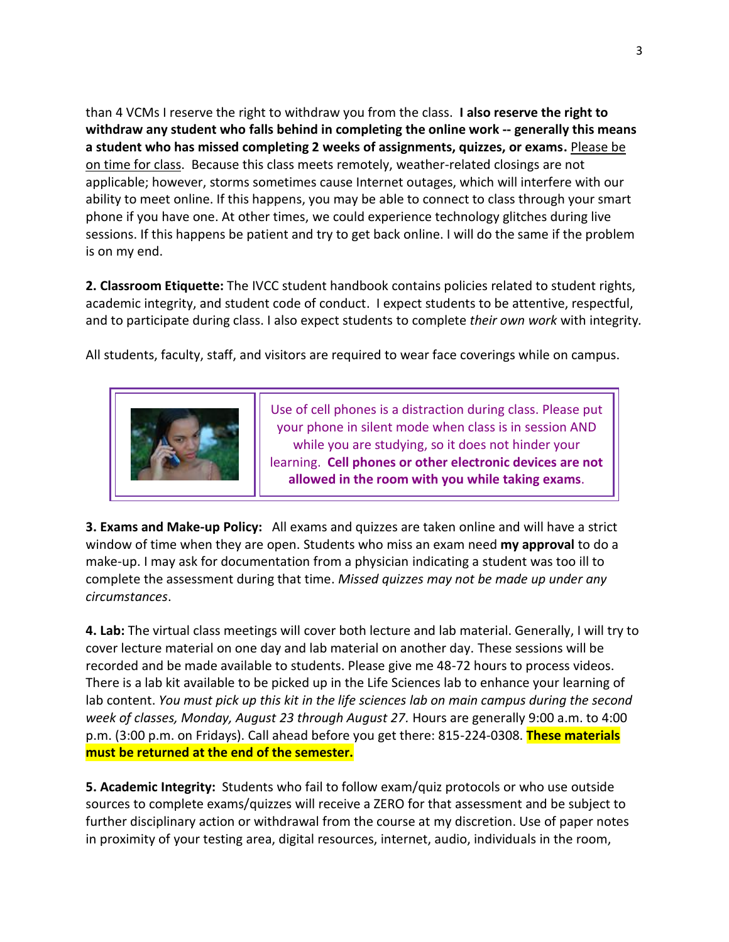than 4 VCMs I reserve the right to withdraw you from the class. **I also reserve the right to withdraw any student who falls behind in completing the online work -- generally this means a student who has missed completing 2 weeks of assignments, quizzes, or exams.** Please be on time for class. Because this class meets remotely, weather-related closings are not applicable; however, storms sometimes cause Internet outages, which will interfere with our ability to meet online. If this happens, you may be able to connect to class through your smart phone if you have one. At other times, we could experience technology glitches during live sessions. If this happens be patient and try to get back online. I will do the same if the problem is on my end.

**2. Classroom Etiquette:** The IVCC student handbook contains policies related to student rights, academic integrity, and student code of conduct. I expect students to be attentive, respectful, and to participate during class. I also expect students to complete *their own work* with integrity*.*

All students, faculty, staff, and visitors are required to wear face coverings while on campus.



Use of cell phones is a distraction during class. Please put your phone in silent mode when class is in session AND while you are studying, so it does not hinder your learning. **Cell phones or other electronic devices are not allowed in the room with you while taking exams**.

**3. Exams and Make-up Policy:** All exams and quizzes are taken online and will have a strict window of time when they are open. Students who miss an exam need **my approval** to do a make-up. I may ask for documentation from a physician indicating a student was too ill to complete the assessment during that time. *Missed quizzes may not be made up under any circumstances*.

**4. Lab:** The virtual class meetings will cover both lecture and lab material. Generally, I will try to cover lecture material on one day and lab material on another day. These sessions will be recorded and be made available to students. Please give me 48-72 hours to process videos. There is a lab kit available to be picked up in the Life Sciences lab to enhance your learning of lab content. *You must pick up this kit in the life sciences lab on main campus during the second week of classes, Monday, August 23 through August 27.* Hours are generally 9:00 a.m. to 4:00 p.m. (3:00 p.m. on Fridays). Call ahead before you get there: 815-224-0308. **These materials must be returned at the end of the semester.**

**5. Academic Integrity:** Students who fail to follow exam/quiz protocols or who use outside sources to complete exams/quizzes will receive a ZERO for that assessment and be subject to further disciplinary action or withdrawal from the course at my discretion. Use of paper notes in proximity of your testing area, digital resources, internet, audio, individuals in the room,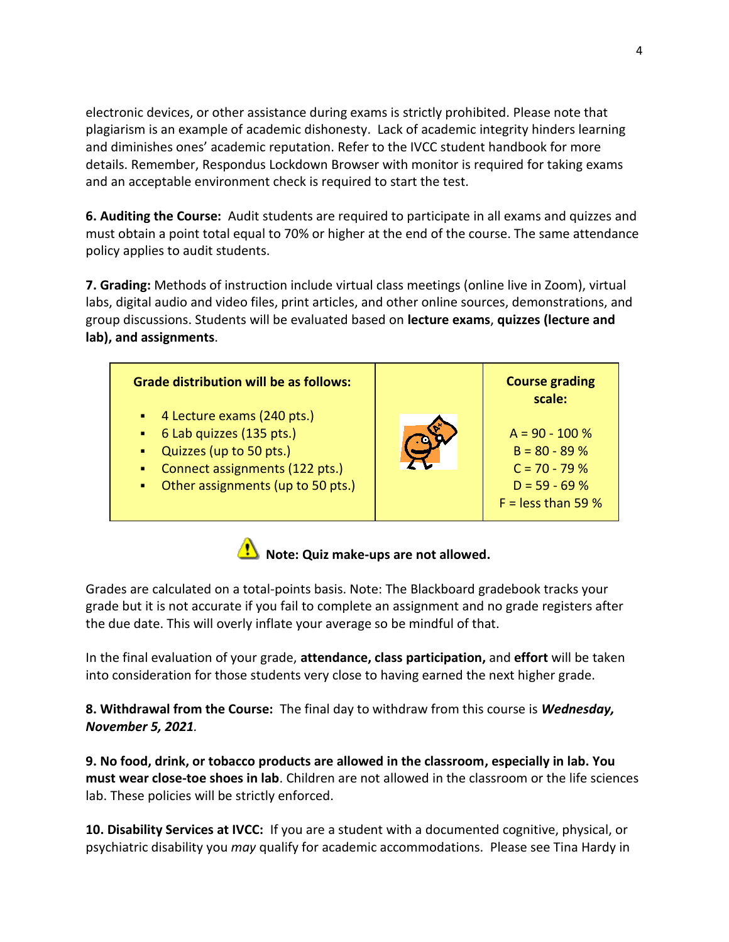electronic devices, or other assistance during exams is strictly prohibited. Please note that plagiarism is an example of academic dishonesty. Lack of academic integrity hinders learning and diminishes ones' academic reputation. Refer to the IVCC student handbook for more details. Remember, Respondus Lockdown Browser with monitor is required for taking exams and an acceptable environment check is required to start the test.

**6. Auditing the Course:** Audit students are required to participate in all exams and quizzes and must obtain a point total equal to 70% or higher at the end of the course. The same attendance policy applies to audit students.

**7. Grading:** Methods of instruction include virtual class meetings (online live in Zoom), virtual labs, digital audio and video files, print articles, and other online sources, demonstrations, and group discussions. Students will be evaluated based on **lecture exams**, **quizzes (lecture and lab), and assignments**.



Note: Quiz make-ups are not allowed.

Grades are calculated on a total-points basis. Note: The Blackboard gradebook tracks your grade but it is not accurate if you fail to complete an assignment and no grade registers after the due date. This will overly inflate your average so be mindful of that.

In the final evaluation of your grade, **attendance, class participation,** and **effort** will be taken into consideration for those students very close to having earned the next higher grade.

**8. Withdrawal from the Course:** The final day to withdraw from this course is *Wednesday, November 5, 2021.*

**9. No food, drink, or tobacco products are allowed in the classroom, especially in lab. You must wear close-toe shoes in lab**. Children are not allowed in the classroom or the life sciences lab. These policies will be strictly enforced.

**10. Disability Services at IVCC:** If you are a student with a documented cognitive, physical, or psychiatric disability you *may* qualify for academic accommodations. Please see Tina Hardy in